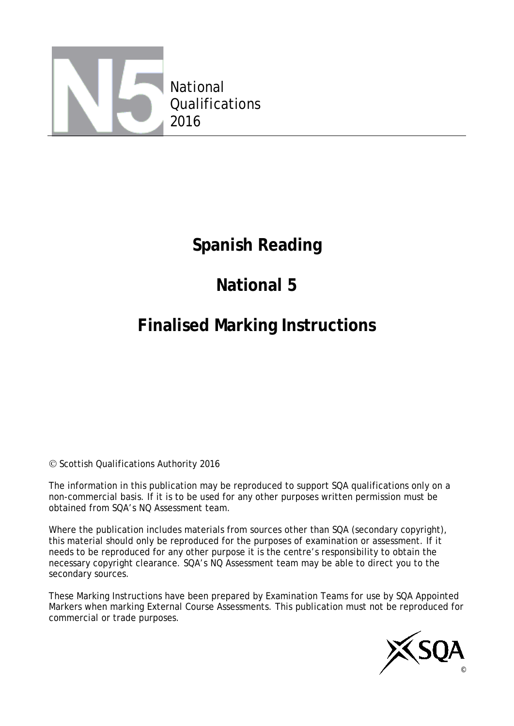

## **Spanish Reading**

# **National 5**

# **Finalised Marking Instructions**

© Scottish Qualifications Authority 2016

The information in this publication may be reproduced to support SQA qualifications only on a non-commercial basis. If it is to be used for any other purposes written permission must be obtained from SQA's NQ Assessment team.

Where the publication includes materials from sources other than SQA (secondary copyright), this material should only be reproduced for the purposes of examination or assessment. If it needs to be reproduced for any other purpose it is the centre's responsibility to obtain the necessary copyright clearance. SQA's NQ Assessment team may be able to direct you to the secondary sources.

These Marking Instructions have been prepared by Examination Teams for use by SQA Appointed Markers when marking External Course Assessments. This publication must not be reproduced for commercial or trade purposes.

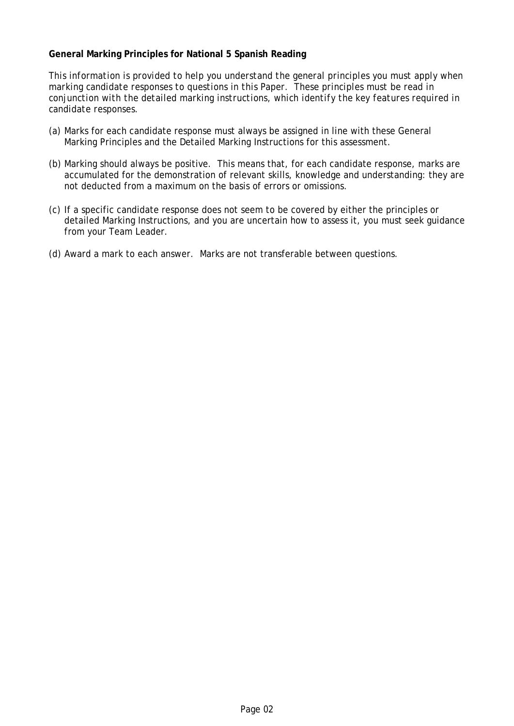#### **General Marking Principles for National 5 Spanish Reading**

*This information is provided to help you understand the general principles you must apply when marking candidate responses to questions in this Paper. These principles must be read in conjunction with the detailed marking instructions, which identify the key features required in candidate responses.*

- (a) Marks for each candidate response must always be assigned in line with these General Marking Principles and the Detailed Marking Instructions for this assessment.
- (b) Marking should always be positive. This means that, for each candidate response, marks are accumulated for the demonstration of relevant skills, knowledge and understanding: they are not deducted from a maximum on the basis of errors or omissions.
- (c) If a specific candidate response does not seem to be covered by either the principles or detailed Marking Instructions, and you are uncertain how to assess it, you must seek guidance from your Team Leader.
- (d) Award a mark to each answer. Marks are not transferable between questions.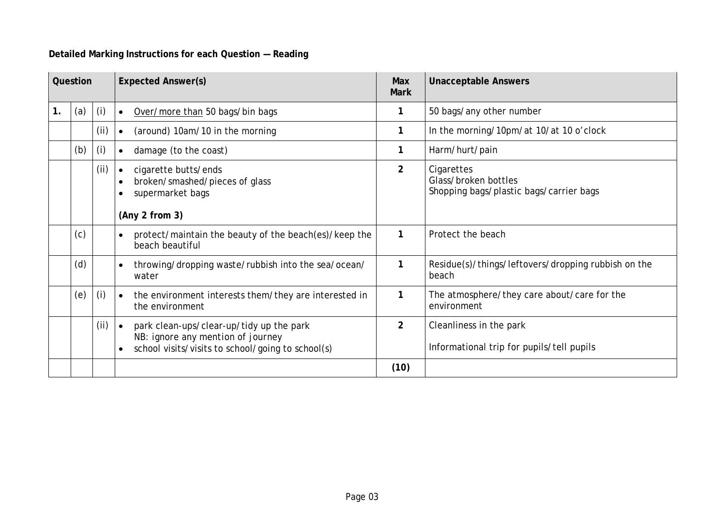### **Detailed Marking Instructions for each Question — Reading**

|               | Question |      | <b>Expected Answer(s)</b>                                                                                                                       |                | <b>Unacceptable Answers</b>                                                   |
|---------------|----------|------|-------------------------------------------------------------------------------------------------------------------------------------------------|----------------|-------------------------------------------------------------------------------|
| $\mathbf 1$ . | (a)      | (i)  | Over/more than 50 bags/bin bags<br>$\bullet$                                                                                                    |                | 50 bags/any other number                                                      |
|               |          | (i)  | (around) 10am/10 in the morning<br>$\bullet$                                                                                                    | 1              | In the morning/10pm/at 10/at 10 o'clock                                       |
|               | (b)      | (i)  | damage (to the coast)<br>$\bullet$                                                                                                              |                | Harm/hurt/pain                                                                |
|               |          | (i)  | cigarette butts/ends<br>$\bullet$<br>broken/smashed/pieces of glass<br>supermarket bags<br>(Any 2 from 3)                                       | $\overline{2}$ | Cigarettes<br>Glass/broken bottles<br>Shopping bags/plastic bags/carrier bags |
|               | (c)      |      | protect/maintain the beauty of the beach(es)/keep the<br>$\bullet$<br>beach beautiful                                                           | 1              | Protect the beach                                                             |
|               | (d)      |      | throwing/dropping waste/rubbish into the sea/ocean/<br>$\bullet$<br>water                                                                       | 1              | Residue(s)/things/leftovers/dropping rubbish on the<br>beach                  |
|               | (e)      | (i)  | the environment interests them/they are interested in<br>$\bullet$<br>the environment                                                           | 1              | The atmosphere/they care about/care for the<br>environment                    |
|               |          | (ii) | park clean-ups/clear-up/tidy up the park<br>$\bullet$<br>NB: ignore any mention of journey<br>school visits/visits to school/going to school(s) | $\overline{2}$ | Cleanliness in the park<br>Informational trip for pupils/tell pupils          |
|               |          |      |                                                                                                                                                 | (10)           |                                                                               |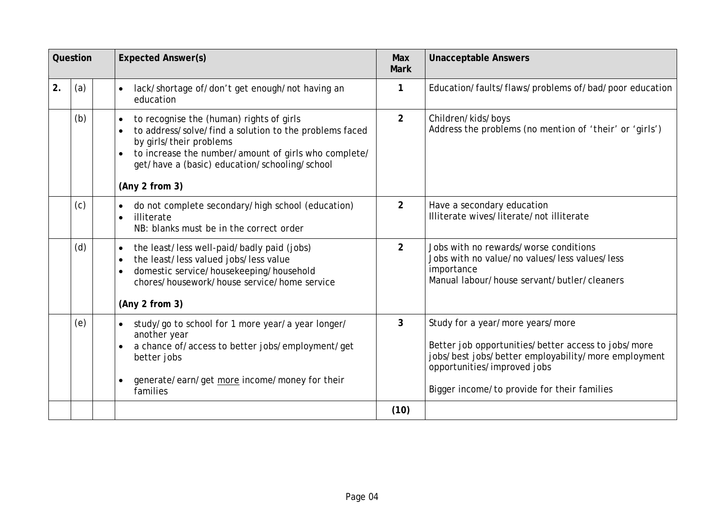|     | Question | <b>Expected Answer(s)</b>                                                                                                                                                                                                                                | Max<br><b>Mark</b> | <b>Unacceptable Answers</b>                                                                                                                                                                                                  |
|-----|----------|----------------------------------------------------------------------------------------------------------------------------------------------------------------------------------------------------------------------------------------------------------|--------------------|------------------------------------------------------------------------------------------------------------------------------------------------------------------------------------------------------------------------------|
| 2.  | (a)      | lack/shortage of/don't get enough/not having an<br>$\bullet$<br>education                                                                                                                                                                                | 1                  | Education/faults/flaws/problems of/bad/poor education                                                                                                                                                                        |
|     | (b)      | to recognise the (human) rights of girls<br>to address/solve/find a solution to the problems faced<br>by girls/their problems<br>to increase the number/amount of girls who complete/<br>get/have a (basic) education/schooling/school<br>(Any 2 from 3) | $\overline{2}$     | Children/kids/boys<br>Address the problems (no mention of 'their' or 'girls')                                                                                                                                                |
|     | (c)      | do not complete secondary/high school (education)<br>illiterate<br>NB: blanks must be in the correct order                                                                                                                                               | $\overline{2}$     | Have a secondary education<br>Illiterate wives/literate/not illiterate                                                                                                                                                       |
|     | (d)      | the least/less well-paid/badly paid (jobs)<br>the least/less valued jobs/less value<br>domestic service/housekeeping/household<br>chores/housework/house service/home service<br>(Any 2 from 3)                                                          | $\overline{2}$     | Jobs with no rewards/worse conditions<br>Jobs with no value/no values/less values/less<br>importance<br>Manual labour/house servant/butler/cleaners                                                                          |
| (e) |          | study/go to school for 1 more year/a year longer/<br>$\bullet$<br>another year<br>a chance of/access to better jobs/employment/get<br>better jobs<br>generate/earn/get more income/money for their<br>families                                           | 3                  | Study for a year/more years/more<br>Better job opportunities/better access to jobs/more<br>jobs/best jobs/better employability/more employment<br>opportunities/improved jobs<br>Bigger income/to provide for their families |
|     |          |                                                                                                                                                                                                                                                          | (10)               |                                                                                                                                                                                                                              |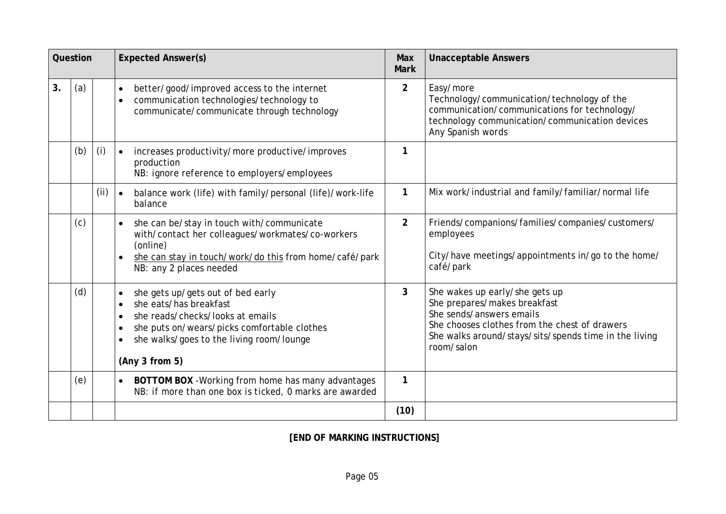|    | Question |     | <b>Expected Answer(s)</b>                                                                                                                                                                                                 |                | <b>Unacceptable Answers</b>                                                                                                                                                                                        |  |
|----|----------|-----|---------------------------------------------------------------------------------------------------------------------------------------------------------------------------------------------------------------------------|----------------|--------------------------------------------------------------------------------------------------------------------------------------------------------------------------------------------------------------------|--|
| 3. | (a)      |     | better/good/improved access to the internet<br>$\bullet$<br>communication technologies/technology to<br>communicate/communicate through technology                                                                        | $\overline{2}$ | Easy/more<br>Technology/communication/technology of the<br>communication/communications for technology/<br>technology communication/communication devices<br>Any Spanish words                                     |  |
|    | (b)      | (i) | increases productivity/more productive/improves<br>production<br>NB: ignore reference to employers/employees                                                                                                              | $\mathbf{1}$   |                                                                                                                                                                                                                    |  |
|    |          | (i) | balance work (life) with family/personal (life)/work-life<br>$\bullet$<br>balance                                                                                                                                         | $\mathbf{1}$   | Mix work/industrial and family/familiar/normal life                                                                                                                                                                |  |
|    | (c)      |     | she can be/stay in touch with/communicate<br>$\bullet$<br>with/contact her colleagues/workmates/co-workers<br>(online)<br>she can stay in touch/work/do this from home/café/park<br>NB: any 2 places needed               | $\overline{2}$ | Friends/companions/families/companies/customers/<br>employees<br>City/have meetings/appointments in/go to the home/<br>café/park                                                                                   |  |
|    | (d)      |     | she gets up/gets out of bed early<br>$\bullet$<br>she eats/has breakfast<br>she reads/checks/looks at emails<br>she puts on/wears/picks comfortable clothes<br>she walks/goes to the living room/lounge<br>(Any 3 from 5) | 3              | She wakes up early/she gets up<br>She prepares/makes breakfast<br>She sends/answers emails<br>She chooses clothes from the chest of drawers<br>She walks around/stays/sits/spends time in the living<br>room/salon |  |
|    | (e)      |     | BOTTOM BOX - Working from home has many advantages<br>$\bullet$<br>NB: if more than one box is ticked, 0 marks are awarded                                                                                                | $\mathbf{1}$   |                                                                                                                                                                                                                    |  |
|    |          |     |                                                                                                                                                                                                                           | (10)           |                                                                                                                                                                                                                    |  |

**[END OF MARKING INSTRUCTIONS]**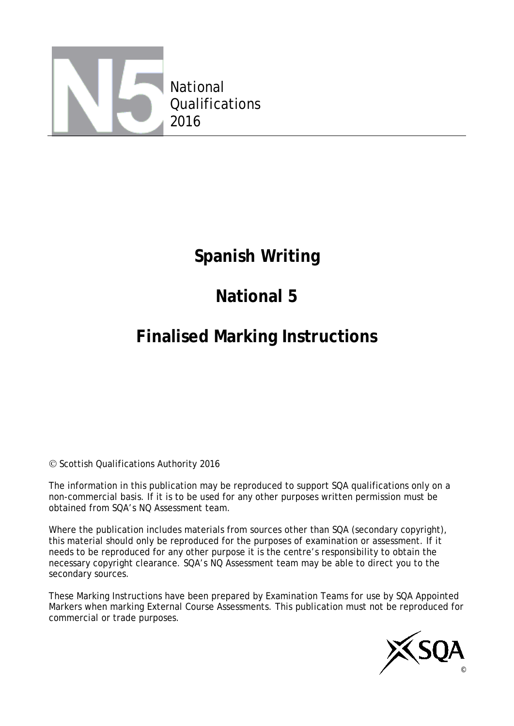

### **Spanish Writing**

# **National 5**

## **Finalised Marking Instructions**

© Scottish Qualifications Authority 2016

The information in this publication may be reproduced to support SQA qualifications only on a non-commercial basis. If it is to be used for any other purposes written permission must be obtained from SQA's NQ Assessment team.

Where the publication includes materials from sources other than SQA (secondary copyright), this material should only be reproduced for the purposes of examination or assessment. If it needs to be reproduced for any other purpose it is the centre's responsibility to obtain the necessary copyright clearance. SQA's NQ Assessment team may be able to direct you to the secondary sources.

These Marking Instructions have been prepared by Examination Teams for use by SQA Appointed Markers when marking External Course Assessments. This publication must not be reproduced for commercial or trade purposes.

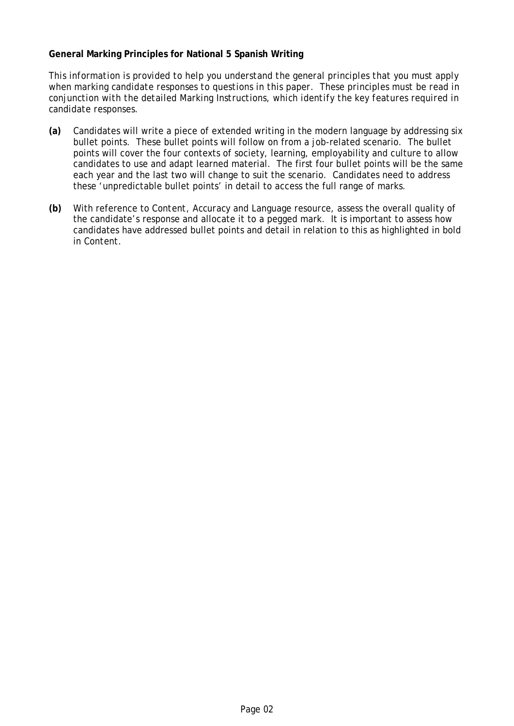#### **General Marking Principles for National 5 Spanish Writing**

*This information is provided to help you understand the general principles that you must apply when marking candidate responses to questions in this paper. These principles must be read in conjunction with the detailed Marking Instructions, which identify the key features required in candidate responses.* 

- **(a)** Candidates will write a piece of extended writing in the modern language by addressing six bullet points. These bullet points will follow on from a job-related scenario. The bullet points will cover the four contexts of society, learning, employability and culture to allow candidates to use and adapt learned material. The first four bullet points will be the same each year and the last two will change to suit the scenario. Candidates need to address these 'unpredictable bullet points' in detail to access the full range of marks.
- **(b)** With reference to *Content, Accuracy* and *Language resource*, assess the overall quality of the candidate's response and allocate it to a pegged mark. It is important to assess how candidates have addressed bullet points and detail in relation to this as highlighted in bold in *Content*.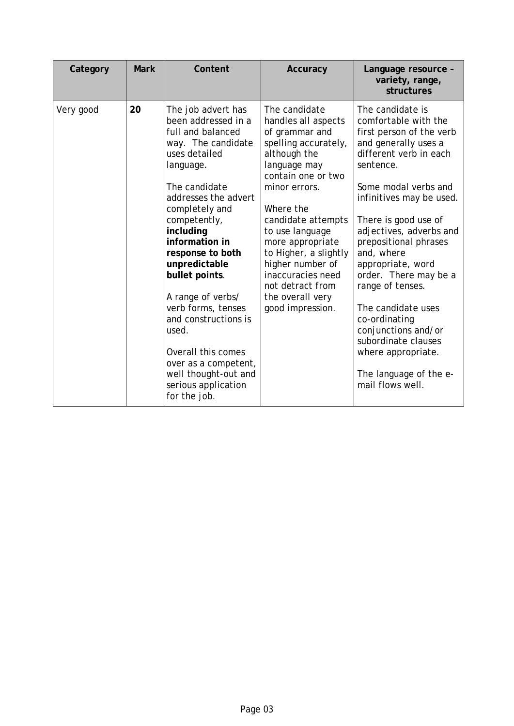| Category  | <b>Mark</b> | Content                                                                                                                                                                                                                                                                                                                                                                                                                                                                      | Accuracy                                                                                                                                                                                                                                                                                                                                                      | Language resource -<br>variety, range,<br>structures                                                                                                                                                                                                                                                                                                                                                                                                                                                         |
|-----------|-------------|------------------------------------------------------------------------------------------------------------------------------------------------------------------------------------------------------------------------------------------------------------------------------------------------------------------------------------------------------------------------------------------------------------------------------------------------------------------------------|---------------------------------------------------------------------------------------------------------------------------------------------------------------------------------------------------------------------------------------------------------------------------------------------------------------------------------------------------------------|--------------------------------------------------------------------------------------------------------------------------------------------------------------------------------------------------------------------------------------------------------------------------------------------------------------------------------------------------------------------------------------------------------------------------------------------------------------------------------------------------------------|
| Very good | 20          | The job advert has<br>been addressed in a<br>full and balanced<br>way. The candidate<br>uses detailed<br>language.<br>The candidate<br>addresses the advert<br>completely and<br>competently,<br>including<br>information in<br>response to both<br>unpredictable<br>bullet points.<br>A range of verbs/<br>verb forms, tenses<br>and constructions is<br>used.<br>Overall this comes<br>over as a competent,<br>well thought-out and<br>serious application<br>for the job. | The candidate<br>handles all aspects<br>of grammar and<br>spelling accurately,<br>although the<br>language may<br>contain one or two<br>minor errors.<br>Where the<br>candidate attempts<br>to use language<br>more appropriate<br>to Higher, a slightly<br>higher number of<br>inaccuracies need<br>not detract from<br>the overall very<br>good impression. | The candidate is<br>comfortable with the<br>first person of the verb<br>and generally uses a<br>different verb in each<br>sentence.<br>Some modal verbs and<br>infinitives may be used.<br>There is good use of<br>adjectives, adverbs and<br>prepositional phrases<br>and, where<br>appropriate, word<br>order. There may be a<br>range of tenses.<br>The candidate uses<br>co-ordinating<br>conjunctions and/or<br>subordinate clauses<br>where appropriate.<br>The language of the e-<br>mail flows well. |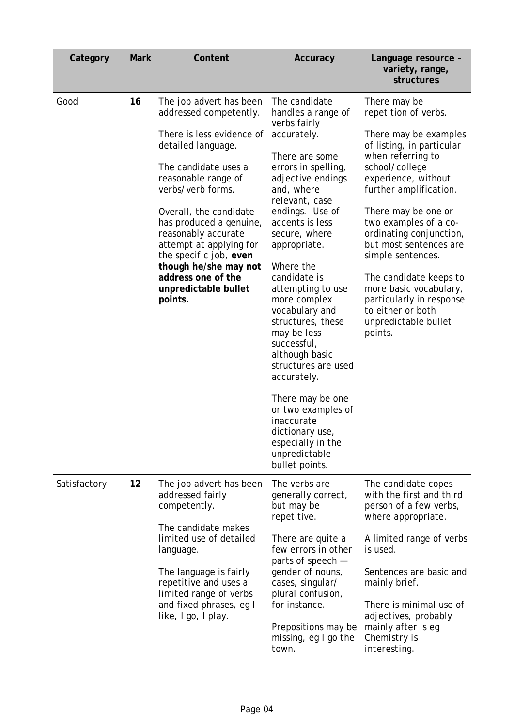| Category     | <b>Mark</b> | Content                                                                                                                                                                                                                                                                                                                                                                                     | Accuracy                                                                                                                                                                                                                                                                                                                                                                                                                                                                                                                                                                  | Language resource -<br>variety, range,<br>structures                                                                                                                                                                                                                                                                                                                                                                                                 |
|--------------|-------------|---------------------------------------------------------------------------------------------------------------------------------------------------------------------------------------------------------------------------------------------------------------------------------------------------------------------------------------------------------------------------------------------|---------------------------------------------------------------------------------------------------------------------------------------------------------------------------------------------------------------------------------------------------------------------------------------------------------------------------------------------------------------------------------------------------------------------------------------------------------------------------------------------------------------------------------------------------------------------------|------------------------------------------------------------------------------------------------------------------------------------------------------------------------------------------------------------------------------------------------------------------------------------------------------------------------------------------------------------------------------------------------------------------------------------------------------|
| Good         | 16          | The job advert has been<br>addressed competently.<br>There is less evidence of<br>detailed language.<br>The candidate uses a<br>reasonable range of<br>verbs/verb forms.<br>Overall, the candidate<br>has produced a genuine,<br>reasonably accurate<br>attempt at applying for<br>the specific job, even<br>though he/she may not<br>address one of the<br>unpredictable bullet<br>points. | The candidate<br>handles a range of<br>verbs fairly<br>accurately.<br>There are some<br>errors in spelling,<br>adjective endings<br>and, where<br>relevant, case<br>endings. Use of<br>accents is less<br>secure, where<br>appropriate.<br>Where the<br>candidate is<br>attempting to use<br>more complex<br>vocabulary and<br>structures, these<br>may be less<br>successful,<br>although basic<br>structures are used<br>accurately.<br>There may be one<br>or two examples of<br>inaccurate<br>dictionary use,<br>especially in the<br>unpredictable<br>bullet points. | There may be<br>repetition of verbs.<br>There may be examples<br>of listing, in particular<br>when referring to<br>school/college<br>experience, without<br>further amplification.<br>There may be one or<br>two examples of a co-<br>ordinating conjunction,<br>but most sentences are<br>simple sentences.<br>The candidate keeps to<br>more basic vocabulary,<br>particularly in response<br>to either or both<br>unpredictable bullet<br>points. |
| Satisfactory | 12          | The job advert has been<br>addressed fairly<br>competently.<br>The candidate makes<br>limited use of detailed<br>language.<br>The language is fairly<br>repetitive and uses a<br>limited range of verbs<br>and fixed phrases, eg I<br>like, I go, I play.                                                                                                                                   | The verbs are<br>generally correct,<br>but may be<br>repetitive.<br>There are quite a<br>few errors in other<br>parts of speech -<br>gender of nouns,<br>cases, singular/<br>plural confusion,<br>for instance.<br>Prepositions may be<br>missing, eg I go the<br>town.                                                                                                                                                                                                                                                                                                   | The candidate copes<br>with the first and third<br>person of a few verbs,<br>where appropriate.<br>A limited range of verbs<br>is used.<br>Sentences are basic and<br>mainly brief.<br>There is minimal use of<br>adjectives, probably<br>mainly after is eg<br>Chemistry is<br>interesting.                                                                                                                                                         |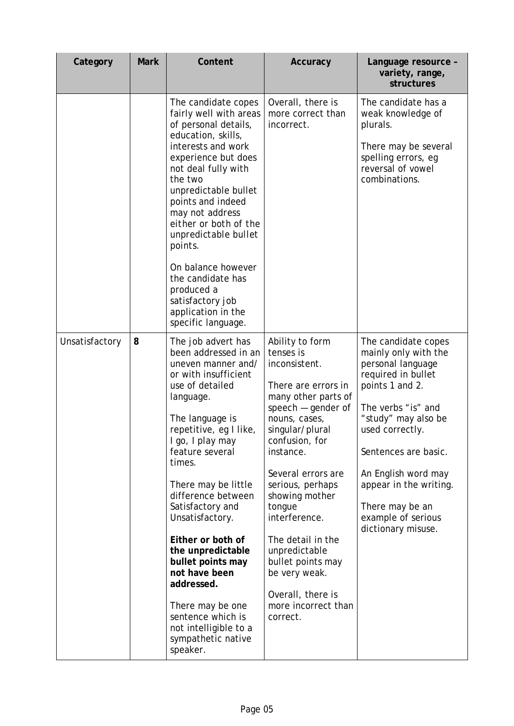| Category       | <b>Mark</b> | Content                                                                                                                                                                                                                                                                                                                                                                                                                                                                                                      | Accuracy                                                                                                                                                                                                                                                                                                                                                                                                          | Language resource -<br>variety, range,<br>structures                                                                                                                                                                                                                                                              |
|----------------|-------------|--------------------------------------------------------------------------------------------------------------------------------------------------------------------------------------------------------------------------------------------------------------------------------------------------------------------------------------------------------------------------------------------------------------------------------------------------------------------------------------------------------------|-------------------------------------------------------------------------------------------------------------------------------------------------------------------------------------------------------------------------------------------------------------------------------------------------------------------------------------------------------------------------------------------------------------------|-------------------------------------------------------------------------------------------------------------------------------------------------------------------------------------------------------------------------------------------------------------------------------------------------------------------|
|                |             | The candidate copes<br>fairly well with areas<br>of personal details,<br>education, skills,<br>interests and work<br>experience but does<br>not deal fully with<br>the two<br>unpredictable bullet<br>points and indeed<br>may not address<br>either or both of the<br>unpredictable bullet<br>points.<br>On balance however<br>the candidate has<br>produced a<br>satisfactory job<br>application in the<br>specific language.                                                                              | Overall, there is<br>more correct than<br>incorrect.                                                                                                                                                                                                                                                                                                                                                              | The candidate has a<br>weak knowledge of<br>plurals.<br>There may be several<br>spelling errors, eg<br>reversal of vowel<br>combinations.                                                                                                                                                                         |
| Unsatisfactory | 8           | The job advert has<br>been addressed in an<br>uneven manner and/<br>or with insufficient<br>use of detailed<br>language.<br>The language is<br>repetitive, eg I like,<br>I go, I play may<br>feature several<br>times.<br>There may be little<br>difference between<br>Satisfactory and<br>Unsatisfactory.<br>Either or both of<br>the unpredictable<br>bullet points may<br>not have been<br>addressed.<br>There may be one<br>sentence which is<br>not intelligible to a<br>sympathetic native<br>speaker. | Ability to form<br>tenses is<br>inconsistent.<br>There are errors in<br>many other parts of<br>speech $-$ gender of<br>nouns, cases,<br>singular/plural<br>confusion, for<br>instance.<br>Several errors are<br>serious, perhaps<br>showing mother<br>tongue<br>interference.<br>The detail in the<br>unpredictable<br>bullet points may<br>be very weak.<br>Overall, there is<br>more incorrect than<br>correct. | The candidate copes<br>mainly only with the<br>personal language<br>required in bullet<br>points 1 and 2.<br>The verbs "is" and<br>"study" may also be<br>used correctly.<br>Sentences are basic.<br>An English word may<br>appear in the writing.<br>There may be an<br>example of serious<br>dictionary misuse. |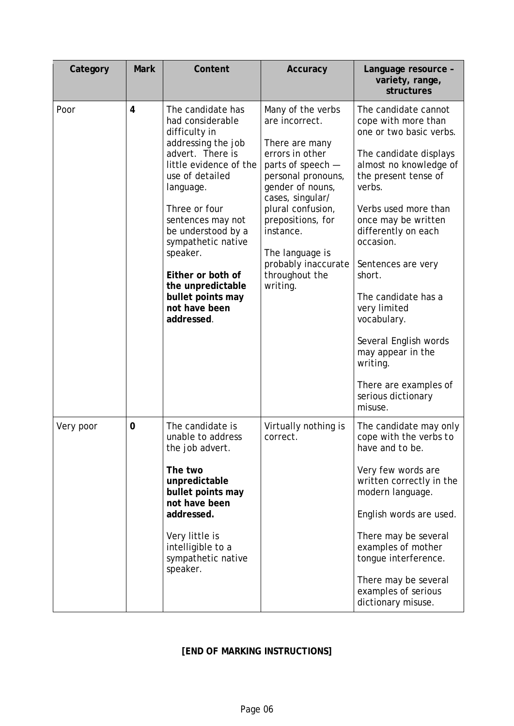| Category  | <b>Mark</b> | Content                                                                                                                                                                                                                                                                                                                                                | Accuracy                                                                                                                                                                                                                                                                                   | Language resource -<br>variety, range,<br>structures                                                                                                                                                                                                                                                                                                                                                                                                      |
|-----------|-------------|--------------------------------------------------------------------------------------------------------------------------------------------------------------------------------------------------------------------------------------------------------------------------------------------------------------------------------------------------------|--------------------------------------------------------------------------------------------------------------------------------------------------------------------------------------------------------------------------------------------------------------------------------------------|-----------------------------------------------------------------------------------------------------------------------------------------------------------------------------------------------------------------------------------------------------------------------------------------------------------------------------------------------------------------------------------------------------------------------------------------------------------|
| Poor      | 4           | The candidate has<br>had considerable<br>difficulty in<br>addressing the job<br>advert. There is<br>little evidence of the<br>use of detailed<br>language.<br>Three or four<br>sentences may not<br>be understood by a<br>sympathetic native<br>speaker.<br>Either or both of<br>the unpredictable<br>bullet points may<br>not have been<br>addressed. | Many of the verbs<br>are incorrect.<br>There are many<br>errors in other<br>parts of speech -<br>personal pronouns,<br>gender of nouns,<br>cases, singular/<br>plural confusion,<br>prepositions, for<br>instance.<br>The language is<br>probably inaccurate<br>throughout the<br>writing. | The candidate cannot<br>cope with more than<br>one or two basic verbs.<br>The candidate displays<br>almost no knowledge of<br>the present tense of<br>verbs.<br>Verbs used more than<br>once may be written<br>differently on each<br>occasion.<br>Sentences are very<br>short.<br>The candidate has a<br>very limited<br>vocabulary.<br>Several English words<br>may appear in the<br>writing.<br>There are examples of<br>serious dictionary<br>misuse. |
| Very poor | $\mathbf 0$ | The candidate is<br>unable to address<br>the job advert.<br>The two<br>unpredictable<br>bullet points may<br>not have been<br>addressed.<br>Very little is<br>intelligible to a<br>sympathetic native<br>speaker.                                                                                                                                      | Virtually nothing is<br>correct.                                                                                                                                                                                                                                                           | The candidate may only<br>cope with the verbs to<br>have and to be.<br>Very few words are<br>written correctly in the<br>modern language.<br>English words are used.<br>There may be several<br>examples of mother<br>tongue interference.<br>There may be several<br>examples of serious<br>dictionary misuse.                                                                                                                                           |

### **[END OF MARKING INSTRUCTIONS]**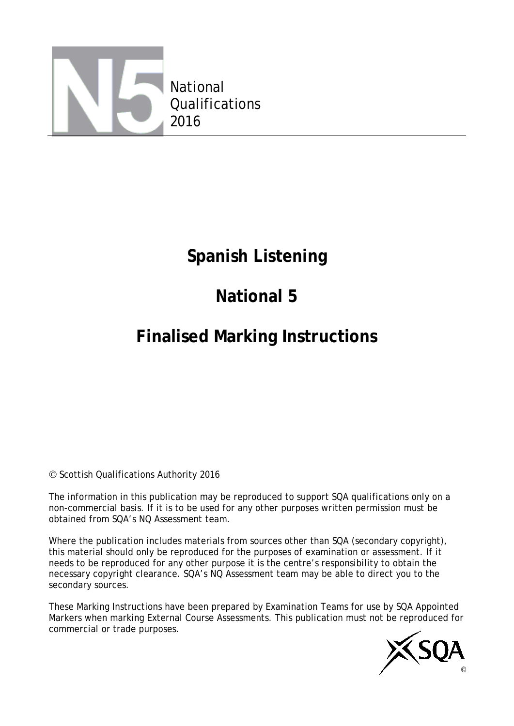

### **Spanish Listening**

## **National 5**

### **Finalised Marking Instructions**

### © Scottish Qualifications Authority 2016

The information in this publication may be reproduced to support SQA qualifications only on a non-commercial basis. If it is to be used for any other purposes written permission must be obtained from SQA's NQ Assessment team.

Where the publication includes materials from sources other than SQA (secondary copyright), this material should only be reproduced for the purposes of examination or assessment. If it needs to be reproduced for any other purpose it is the centre's responsibility to obtain the necessary copyright clearance. SQA's NQ Assessment team may be able to direct you to the secondary sources.

These Marking Instructions have been prepared by Examination Teams for use by SQA Appointed Markers when marking External Course Assessments. This publication must not be reproduced for commercial or trade purposes.

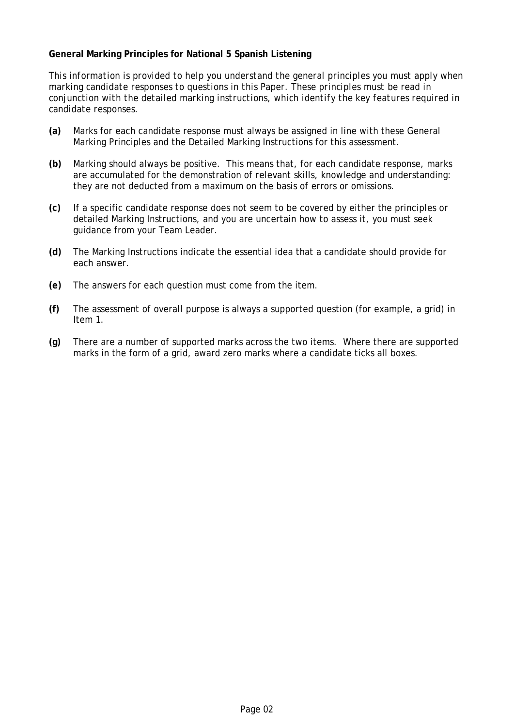#### **General Marking Principles for National 5 Spanish Listening**

*This information is provided to help you understand the general principles you must apply when marking candidate responses to questions in this Paper. These principles must be read in conjunction with the detailed marking instructions, which identify the key features required in candidate responses.*

- **(a)** Marks for each candidate response must always be assigned in line with these General Marking Principles and the Detailed Marking Instructions for this assessment.
- **(b)** Marking should always be positive. This means that, for each candidate response, marks are accumulated for the demonstration of relevant skills, knowledge and understanding: they are not deducted from a maximum on the basis of errors or omissions.
- **(c)** If a specific candidate response does not seem to be covered by either the principles or detailed Marking Instructions, and you are uncertain how to assess it, you must seek guidance from your Team Leader.
- **(d)** The Marking Instructions indicate the essential idea that a candidate should provide for each answer.
- **(e)** The answers for each question must come from the item.
- **(f)** The assessment of overall purpose is always a supported question (for example, a grid) in Item 1.
- **(g)** There are a number of supported marks across the two items. Where there are supported marks in the form of a grid, award zero marks where a candidate ticks all boxes.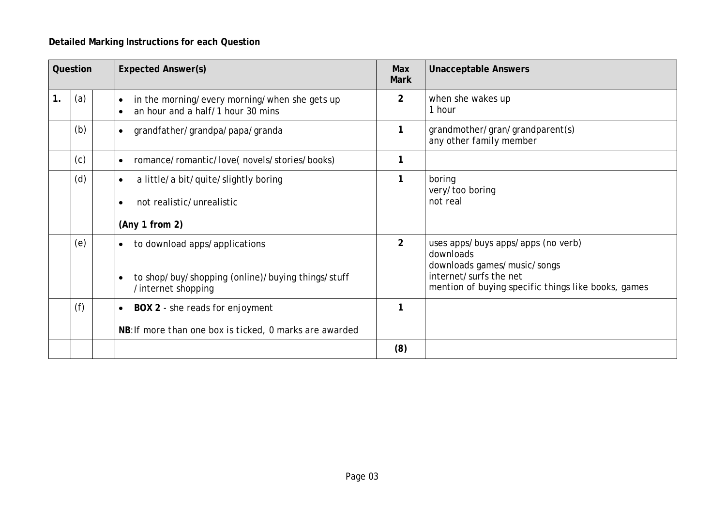### **Detailed Marking Instructions for each Question**

| Question |     | <b>Expected Answer(s)</b>                                                                                                          | Max<br><b>Mark</b> | <b>Unacceptable Answers</b>                                                                                                                                     |  |
|----------|-----|------------------------------------------------------------------------------------------------------------------------------------|--------------------|-----------------------------------------------------------------------------------------------------------------------------------------------------------------|--|
| 1.       | (a) | in the morning/every morning/when she gets up<br>$\bullet$<br>an hour and a half/1 hour 30 mins                                    | $\overline{2}$     | when she wakes up<br>1 hour                                                                                                                                     |  |
|          | (b) | grandfather/grandpa/papa/granda<br>$\bullet$                                                                                       | 1                  | grandmother/gran/grandparent(s)<br>any other family member                                                                                                      |  |
|          | (c) | romance/romantic/love(novels/stories/books)<br>$\bullet$                                                                           | 1                  |                                                                                                                                                                 |  |
|          | (d) | a little/a bit/quite/slightly boring<br>$\bullet$<br>not realistic/unrealistic                                                     | $\mathbf{1}$       | boring<br>very/too boring<br>not real                                                                                                                           |  |
|          |     | (Any 1 from 2)                                                                                                                     |                    |                                                                                                                                                                 |  |
|          | (e) | to download apps/applications<br>$\bullet$<br>to shop/buy/shopping (online)/buying things/stuff<br>$\bullet$<br>/internet shopping | $\overline{2}$     | uses apps/buys apps/apps (no verb)<br>downloads<br>downloads games/music/songs<br>internet/surfs the net<br>mention of buying specific things like books, games |  |
|          | (f) | BOX 2 - she reads for enjoyment<br>$\bullet$<br>NB: If more than one box is ticked, 0 marks are awarded                            | 1                  |                                                                                                                                                                 |  |
|          |     |                                                                                                                                    | (8)                |                                                                                                                                                                 |  |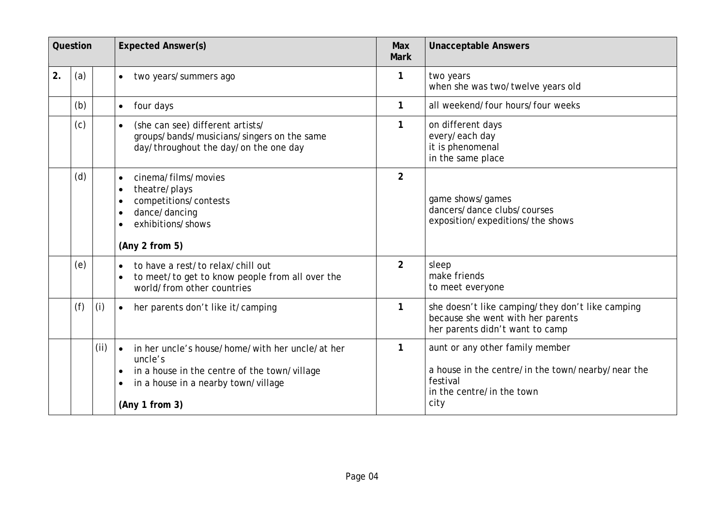|    | Question |      | <b>Expected Answer(s)</b>                                                                                                                                                                     |                | <b>Unacceptable Answers</b>                                                                                                           |  |
|----|----------|------|-----------------------------------------------------------------------------------------------------------------------------------------------------------------------------------------------|----------------|---------------------------------------------------------------------------------------------------------------------------------------|--|
| 2. | (a)      |      | two years/summers ago<br>$\bullet$                                                                                                                                                            | 1              | two years<br>when she was two/twelve years old                                                                                        |  |
|    | (b)      |      | four days<br>$\bullet$                                                                                                                                                                        | $\mathbf{1}$   | all weekend/four hours/four weeks                                                                                                     |  |
|    | (c)      |      | (she can see) different artists/<br>groups/bands/musicians/singers on the same<br>day/throughout the day/on the one day                                                                       | $\mathbf{1}$   | on different days<br>every/each day<br>it is phenomenal<br>in the same place                                                          |  |
|    | (d)      |      | cinema/films/movies<br>$\bullet$<br>theatre/plays<br>$\bullet$<br>competitions/contests<br>dance/dancing<br>exhibitions/shows<br>(Any 2 from 5)                                               | $\overline{2}$ | game shows/games<br>dancers/dance clubs/courses<br>exposition/expeditions/the shows                                                   |  |
|    | (e)      |      | to have a rest/to relax/chill out<br>to meet/to get to know people from all over the<br>world/from other countries                                                                            | $\overline{2}$ | sleep<br>make friends<br>to meet everyone                                                                                             |  |
|    | (f)      | (i)  | her parents don't like it/camping<br>$\bullet$                                                                                                                                                | 1              | she doesn't like camping/they don't like camping<br>because she went with her parents<br>her parents didn't want to camp              |  |
|    |          | (ii) | in her uncle's house/home/with her uncle/at her<br>uncle's<br>in a house in the centre of the town/village<br>$\bullet$<br>in a house in a nearby town/village<br>$\bullet$<br>(Any 1 from 3) | 1              | aunt or any other family member<br>a house in the centre/in the town/nearby/near the<br>festival<br>in the centre/in the town<br>city |  |